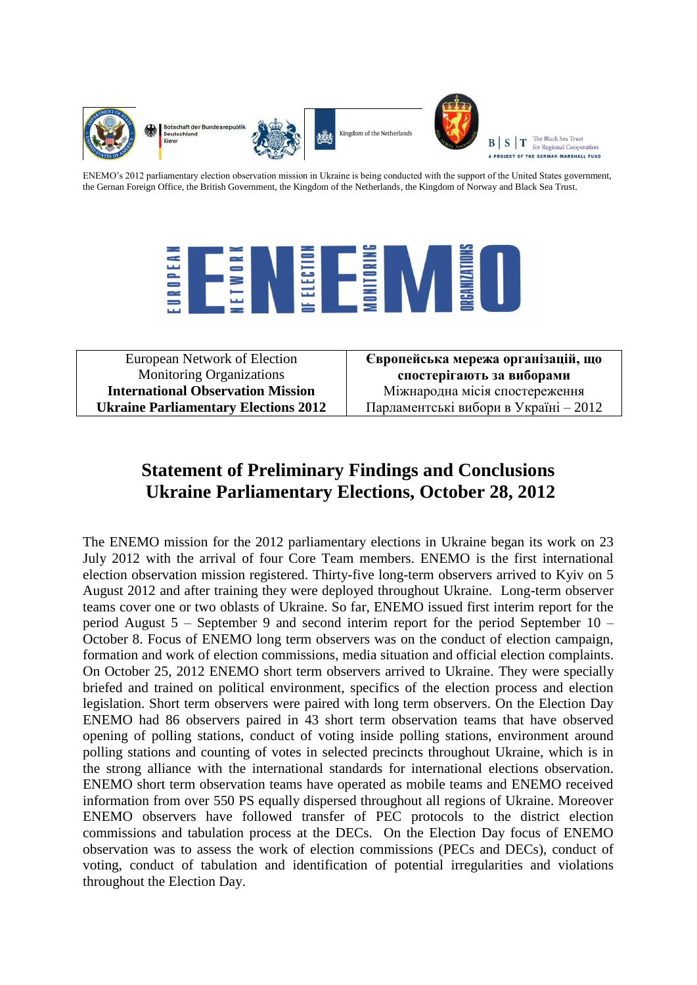

otschaft der Bundesrenubl Deutschland



Kingdom of the Netherlands



The Black Sea Trust  $B \mid S \mid T$ for Regional Cooperation A PROJECT OF THE GERMAN MARSHALL FUND

ENEMO's 2012 parliamentary election observation mission in Ukraine is being conducted with the support of the United States government, the Gernan Foreign Office, the British Government, the Kingdom of the Netherlands, the Kingdom of Norway and Black Sea Trust.



| European Network of Election                | Європейська мережа організацій, що    |
|---------------------------------------------|---------------------------------------|
| <b>Monitoring Organizations</b>             | спостерігають за виборами             |
| <b>International Observation Mission</b>    | Міжнародна місія спостереження        |
| <b>Ukraine Parliamentary Elections 2012</b> | Парламентські вибори в Україні - 2012 |

# **Statement of Preliminary Findings and Conclusions Ukraine Parliamentary Elections, October 28, 2012**

The ENEMO mission for the 2012 parliamentary elections in Ukraine began its work on 23 July 2012 with the arrival of four Core Team members. ENEMO is the first international election observation mission registered. Thirty-five long-term observers arrived to Kyiv on 5 August 2012 and after training they were deployed throughout Ukraine. Long-term observer teams cover one or two oblasts of Ukraine. So far, ENEMO issued first interim report for the period August 5 – September 9 and second interim report for the period September 10 – October 8. Focus of ENEMO long term observers was on the conduct of election campaign, formation and work of election commissions, media situation and official election complaints. On October 25, 2012 ENEMO short term observers arrived to Ukraine. They were specially briefed and trained on political environment, specifics of the election process and election legislation. Short term observers were paired with long term observers. On the Election Day ENEMO had 86 observers paired in 43 short term observation teams that have observed opening of polling stations, conduct of voting inside polling stations, environment around polling stations and counting of votes in selected precincts throughout Ukraine, which is in the strong alliance with the international standards for international elections observation. ENEMO short term observation teams have operated as mobile teams and ENEMO received information from over 550 PS equally dispersed throughout all regions of Ukraine. Moreover ENEMO observers have followed transfer of PEC protocols to the district election commissions and tabulation process at the DECs. On the Election Day focus of ENEMO observation was to assess the work of election commissions (PECs and DECs), conduct of voting, conduct of tabulation and identification of potential irregularities and violations throughout the Election Day.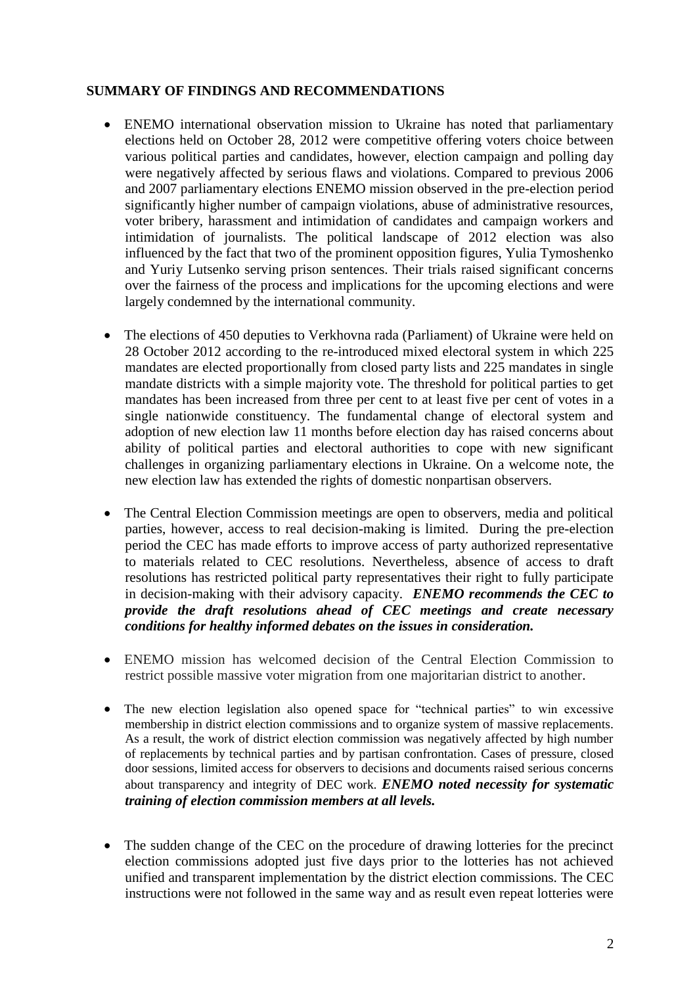## **SUMMARY OF FINDINGS AND RECOMMENDATIONS**

- ENEMO international observation mission to Ukraine has noted that parliamentary elections held on October 28, 2012 were competitive offering voters choice between various political parties and candidates, however, election campaign and polling day were negatively affected by serious flaws and violations. Compared to previous 2006 and 2007 parliamentary elections ENEMO mission observed in the pre-election period significantly higher number of campaign violations, abuse of administrative resources, voter bribery, harassment and intimidation of candidates and campaign workers and intimidation of journalists. The political landscape of 2012 election was also influenced by the fact that two of the prominent opposition figures, Yulia Tymoshenko and Yuriy Lutsenko serving prison sentences. Their trials raised significant concerns over the fairness of the process and implications for the upcoming elections and were largely condemned by the international community.
- The elections of 450 deputies to Verkhovna rada (Parliament) of Ukraine were held on 28 October 2012 according to the re-introduced mixed electoral system in which 225 mandates are elected proportionally from closed party lists and 225 mandates in single mandate districts with a simple majority vote. The threshold for political parties to get mandates has been increased from three per cent to at least five per cent of votes in a single nationwide constituency. The fundamental change of electoral system and adoption of new election law 11 months before election day has raised concerns about ability of political parties and electoral authorities to cope with new significant challenges in organizing parliamentary elections in Ukraine. On a welcome note, the new election law has extended the rights of domestic nonpartisan observers.
- The Central Election Commission meetings are open to observers, media and political parties, however, access to real decision-making is limited. During the pre-election period the CEC has made efforts to improve access of party authorized representative to materials related to CEC resolutions. Nevertheless, absence of access to draft resolutions has restricted political party representatives their right to fully participate in decision-making with their advisory capacity. *ENEMO recommends the CEC to provide the draft resolutions ahead of CEC meetings and create necessary conditions for healthy informed debates on the issues in consideration.*
- ENEMO mission has welcomed decision of the Central Election Commission to restrict possible massive voter migration from one majoritarian district to another.
- The new election legislation also opened space for "technical parties" to win excessive membership in district election commissions and to organize system of massive replacements. As a result, the work of district election commission was negatively affected by high number of replacements by technical parties and by partisan confrontation. Cases of pressure, closed door sessions, limited access for observers to decisions and documents raised serious concerns about transparency and integrity of DEC work. *ENEMO noted necessity for systematic training of election commission members at all levels.*
- The sudden change of the CEC on the procedure of drawing lotteries for the precinct election commissions adopted just five days prior to the lotteries has not achieved unified and transparent implementation by the district election commissions. The CEC instructions were not followed in the same way and as result even repeat lotteries were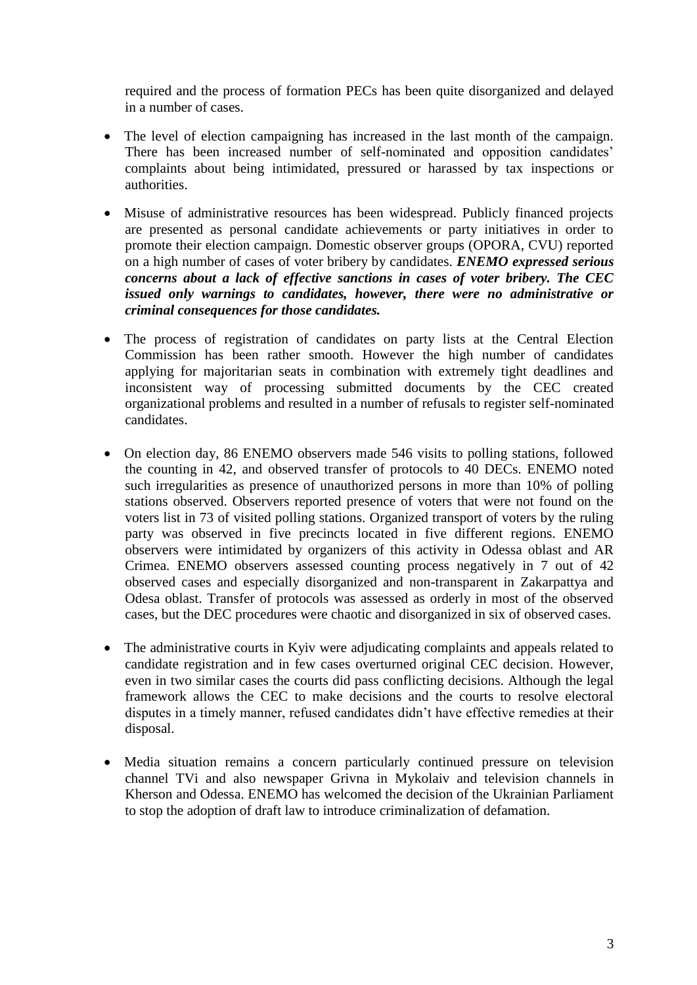required and the process of formation PECs has been quite disorganized and delayed in a number of cases.

- The level of election campaigning has increased in the last month of the campaign. There has been increased number of self-nominated and opposition candidates' complaints about being intimidated, pressured or harassed by tax inspections or authorities.
- Misuse of administrative resources has been widespread. Publicly financed projects are presented as personal candidate achievements or party initiatives in order to promote their election campaign. Domestic observer groups (OPORA, CVU) reported on a high number of cases of voter bribery by candidates. *ENEMO expressed serious concerns about a lack of effective sanctions in cases of voter bribery. The CEC issued only warnings to candidates, however, there were no administrative or criminal consequences for those candidates.*
- The process of registration of candidates on party lists at the Central Election Commission has been rather smooth. However the high number of candidates applying for majoritarian seats in combination with extremely tight deadlines and inconsistent way of processing submitted documents by the CEC created organizational problems and resulted in a number of refusals to register self-nominated candidates.
- On election day, 86 ENEMO observers made 546 visits to polling stations, followed the counting in 42, and observed transfer of protocols to 40 DECs. ENEMO noted such irregularities as presence of unauthorized persons in more than 10% of polling stations observed. Observers reported presence of voters that were not found on the voters list in 73 of visited polling stations. Organized transport of voters by the ruling party was observed in five precincts located in five different regions. ENEMO observers were intimidated by organizers of this activity in Odessa oblast and AR Crimea. ENEMO observers assessed counting process negatively in 7 out of 42 observed cases and especially disorganized and non-transparent in Zakarpattya and Odesa oblast. Transfer of protocols was assessed as orderly in most of the observed cases, but the DEC procedures were chaotic and disorganized in six of observed cases.
- The administrative courts in Kyiv were adjudicating complaints and appeals related to candidate registration and in few cases overturned original CEC decision. However, even in two similar cases the courts did pass conflicting decisions. Although the legal framework allows the CEC to make decisions and the courts to resolve electoral disputes in a timely manner, refused candidates didn't have effective remedies at their disposal.
- Media situation remains a concern particularly continued pressure on television channel TVi and also newspaper Grivna in Mykolaiv and television channels in Kherson and Odessa. ENEMO has welcomed the decision of the Ukrainian Parliament to stop the adoption of draft law to introduce criminalization of defamation.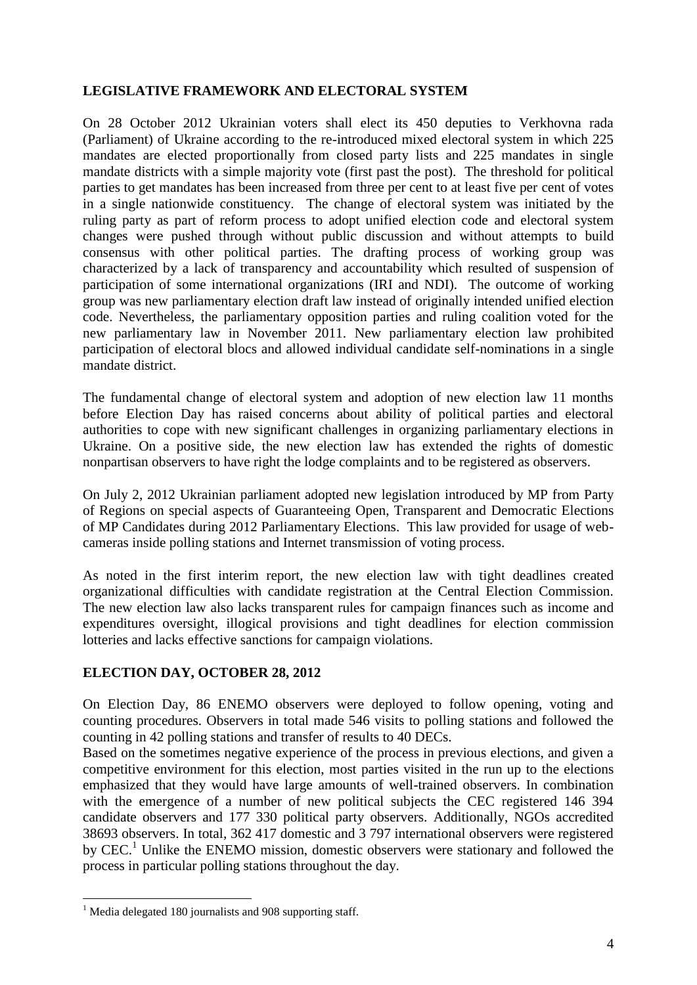## **LEGISLATIVE FRAMEWORK AND ELECTORAL SYSTEM**

On 28 October 2012 Ukrainian voters shall elect its 450 deputies to Verkhovna rada (Parliament) of Ukraine according to the re-introduced mixed electoral system in which 225 mandates are elected proportionally from closed party lists and 225 mandates in single mandate districts with a simple majority vote (first past the post). The threshold for political parties to get mandates has been increased from three per cent to at least five per cent of votes in a single nationwide constituency. The change of electoral system was initiated by the ruling party as part of reform process to adopt unified election code and electoral system changes were pushed through without public discussion and without attempts to build consensus with other political parties. The drafting process of working group was characterized by a lack of transparency and accountability which resulted of suspension of participation of some international organizations (IRI and NDI). The outcome of working group was new parliamentary election draft law instead of originally intended unified election code. Nevertheless, the parliamentary opposition parties and ruling coalition voted for the new parliamentary law in November 2011. New parliamentary election law prohibited participation of electoral blocs and allowed individual candidate self-nominations in a single mandate district.

The fundamental change of electoral system and adoption of new election law 11 months before Election Day has raised concerns about ability of political parties and electoral authorities to cope with new significant challenges in organizing parliamentary elections in Ukraine. On a positive side, the new election law has extended the rights of domestic nonpartisan observers to have right the lodge complaints and to be registered as observers.

On July 2, 2012 Ukrainian parliament adopted new legislation introduced by MP from Party of Regions on special aspects of Guaranteeing Open, Transparent and Democratic Elections of MP Candidates during 2012 Parliamentary Elections. This law provided for usage of webcameras inside polling stations and Internet transmission of voting process.

As noted in the first interim report, the new election law with tight deadlines created organizational difficulties with candidate registration at the Central Election Commission. The new election law also lacks transparent rules for campaign finances such as income and expenditures oversight, illogical provisions and tight deadlines for election commission lotteries and lacks effective sanctions for campaign violations.

## **ELECTION DAY, OCTOBER 28, 2012**

On Election Day, 86 ENEMO observers were deployed to follow opening, voting and counting procedures. Observers in total made 546 visits to polling stations and followed the counting in 42 polling stations and transfer of results to 40 DECs.

Based on the sometimes negative experience of the process in previous elections, and given a competitive environment for this election, most parties visited in the run up to the elections emphasized that they would have large amounts of well-trained observers. In combination with the emergence of a number of new political subjects the CEC registered 146 394 candidate observers and 177 330 political party observers. Additionally, NGOs accredited 38693 observers. In total, 362 417 domestic and 3 797 international observers were registered by CEC.<sup>1</sup> Unlike the ENEMO mission, domestic observers were stationary and followed the process in particular polling stations throughout the day.

1

<sup>&</sup>lt;sup>1</sup> Media delegated 180 journalists and 908 supporting staff.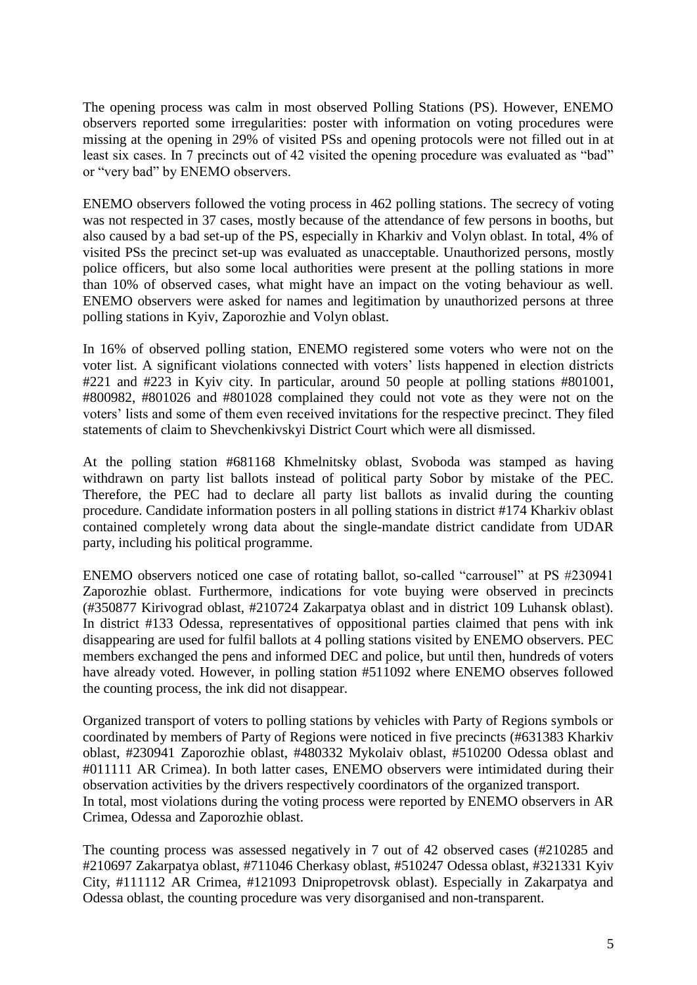The opening process was calm in most observed Polling Stations (PS). However, ENEMO observers reported some irregularities: poster with information on voting procedures were missing at the opening in 29% of visited PSs and opening protocols were not filled out in at least six cases. In 7 precincts out of 42 visited the opening procedure was evaluated as "bad" or "very bad" by ENEMO observers.

ENEMO observers followed the voting process in 462 polling stations. The secrecy of voting was not respected in 37 cases, mostly because of the attendance of few persons in booths, but also caused by a bad set-up of the PS, especially in Kharkiv and Volyn oblast. In total, 4% of visited PSs the precinct set-up was evaluated as unacceptable. Unauthorized persons, mostly police officers, but also some local authorities were present at the polling stations in more than 10% of observed cases, what might have an impact on the voting behaviour as well. ENEMO observers were asked for names and legitimation by unauthorized persons at three polling stations in Kyiv, Zaporozhie and Volyn oblast.

In 16% of observed polling station, ENEMO registered some voters who were not on the voter list. A significant violations connected with voters' lists happened in election districts #221 and #223 in Kyiv city. In particular, around 50 people at polling stations #801001, #800982, #801026 and #801028 complained they could not vote as they were not on the voters' lists and some of them even received invitations for the respective precinct. They filed statements of claim to Shevchenkivskyi District Court which were all dismissed.

At the polling station #681168 Khmelnitsky oblast, Svoboda was stamped as having withdrawn on party list ballots instead of political party Sobor by mistake of the PEC. Therefore, the PEC had to declare all party list ballots as invalid during the counting procedure. Candidate information posters in all polling stations in district #174 Kharkiv oblast contained completely wrong data about the single-mandate district candidate from UDAR party, including his political programme.

ENEMO observers noticed one case of rotating ballot, so-called "carrousel" at PS #230941 Zaporozhie oblast. Furthermore, indications for vote buying were observed in precincts (#350877 Kirivograd oblast, #210724 Zakarpatya oblast and in district 109 Luhansk oblast). In district #133 Odessa, representatives of oppositional parties claimed that pens with ink disappearing are used for fulfil ballots at 4 polling stations visited by ENEMO observers. PEC members exchanged the pens and informed DEC and police, but until then, hundreds of voters have already voted. However, in polling station #511092 where ENEMO observes followed the counting process, the ink did not disappear.

Organized transport of voters to polling stations by vehicles with Party of Regions symbols or coordinated by members of Party of Regions were noticed in five precincts (#631383 Kharkiv oblast, #230941 Zaporozhie oblast, #480332 Mykolaiv oblast, #510200 Odessa oblast and #011111 AR Crimea). In both latter cases, ENEMO observers were intimidated during their observation activities by the drivers respectively coordinators of the organized transport. In total, most violations during the voting process were reported by ENEMO observers in AR Crimea, Odessa and Zaporozhie oblast.

The counting process was assessed negatively in 7 out of 42 observed cases (#210285 and #210697 Zakarpatya oblast, #711046 Cherkasy oblast, #510247 Odessa oblast, #321331 Kyiv City, #111112 AR Crimea, #121093 Dnipropetrovsk oblast). Especially in Zakarpatya and Odessa oblast, the counting procedure was very disorganised and non-transparent.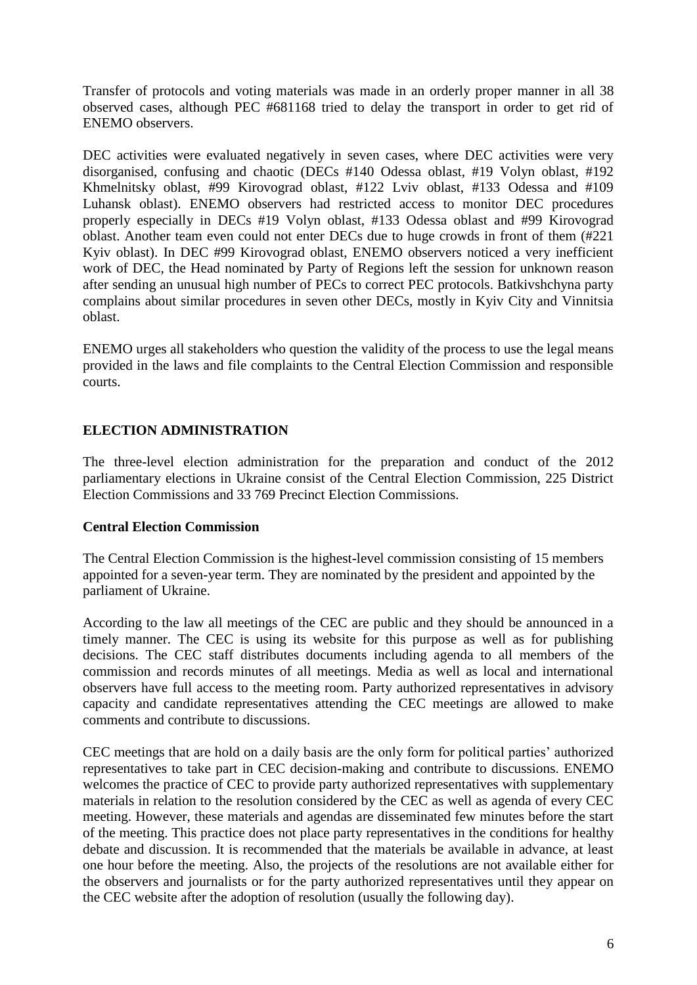Transfer of protocols and voting materials was made in an orderly proper manner in all 38 observed cases, although PEC #681168 tried to delay the transport in order to get rid of ENEMO observers.

DEC activities were evaluated negatively in seven cases, where DEC activities were very disorganised, confusing and chaotic (DECs #140 Odessa oblast, #19 Volyn oblast, #192 Khmelnitsky oblast, #99 Kirovograd oblast, #122 Lviv oblast, #133 Odessa and #109 Luhansk oblast). ENEMO observers had restricted access to monitor DEC procedures properly especially in DECs #19 Volyn oblast, #133 Odessa oblast and #99 Kirovograd oblast. Another team even could not enter DECs due to huge crowds in front of them (#221 Kyiv oblast). In DEC #99 Kirovograd oblast, ENEMO observers noticed a very inefficient work of DEC, the Head nominated by Party of Regions left the session for unknown reason after sending an unusual high number of PECs to correct PEC protocols. Batkivshchyna party complains about similar procedures in seven other DECs, mostly in Kyiv City and Vinnitsia oblast.

ENEMO urges all stakeholders who question the validity of the process to use the legal means provided in the laws and file complaints to the Central Election Commission and responsible courts.

## **ELECTION ADMINISTRATION**

The three-level election administration for the preparation and conduct of the 2012 parliamentary elections in Ukraine consist of the Central Election Commission, 225 District Election Commissions and 33 769 Precinct Election Commissions.

#### **Central Election Commission**

The Central Election Commission is the highest-level commission consisting of 15 members appointed for a seven-year term. They are nominated by the president and appointed by the parliament of Ukraine.

According to the law all meetings of the CEC are public and they should be announced in a timely manner. The CEC is using its website for this purpose as well as for publishing decisions. The CEC staff distributes documents including agenda to all members of the commission and records minutes of all meetings. Media as well as local and international observers have full access to the meeting room. Party authorized representatives in advisory capacity and candidate representatives attending the CEC meetings are allowed to make comments and contribute to discussions.

CEC meetings that are hold on a daily basis are the only form for political parties' authorized representatives to take part in CEC decision-making and contribute to discussions. ENEMO welcomes the practice of CEC to provide party authorized representatives with supplementary materials in relation to the resolution considered by the CEC as well as agenda of every CEC meeting. However, these materials and agendas are disseminated few minutes before the start of the meeting. This practice does not place party representatives in the conditions for healthy debate and discussion. It is recommended that the materials be available in advance, at least one hour before the meeting. Also, the projects of the resolutions are not available either for the observers and journalists or for the party authorized representatives until they appear on the CEC website after the adoption of resolution (usually the following day).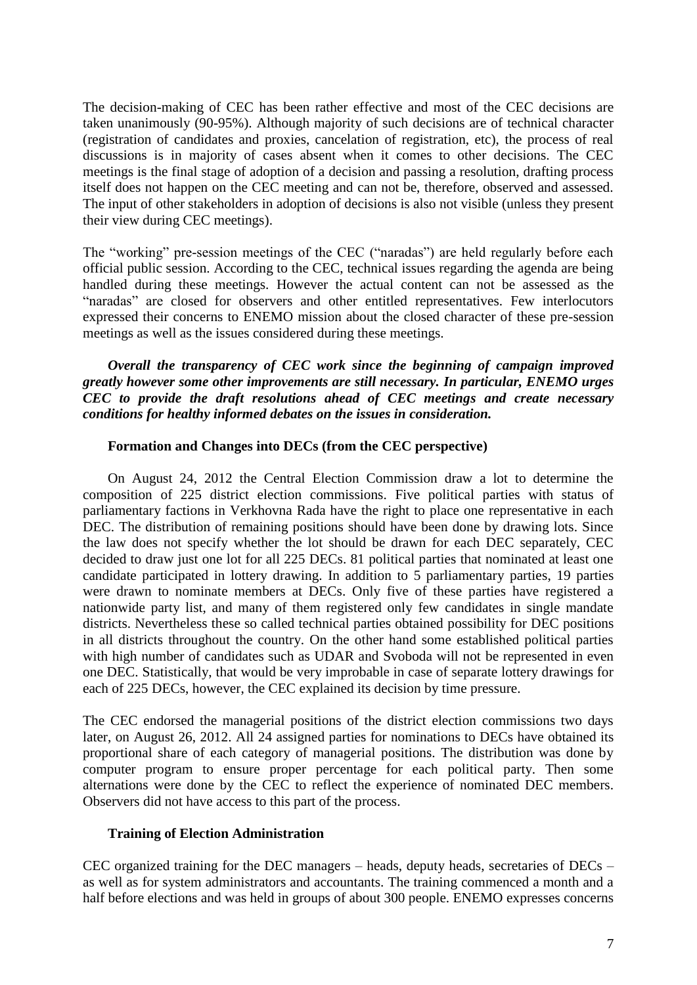The decision-making of CEC has been rather effective and most of the CEC decisions are taken unanimously (90-95%). Although majority of such decisions are of technical character (registration of candidates and proxies, cancelation of registration, etc), the process of real discussions is in majority of cases absent when it comes to other decisions. The CEC meetings is the final stage of adoption of a decision and passing a resolution, drafting process itself does not happen on the CEC meeting and can not be, therefore, observed and assessed. The input of other stakeholders in adoption of decisions is also not visible (unless they present their view during CEC meetings).

The "working" pre-session meetings of the CEC ("naradas") are held regularly before each official public session. According to the CEC, technical issues regarding the agenda are being handled during these meetings. However the actual content can not be assessed as the "naradas" are closed for observers and other entitled representatives. Few interlocutors expressed their concerns to ENEMO mission about the closed character of these pre-session meetings as well as the issues considered during these meetings.

*Overall the transparency of CEC work since the beginning of campaign improved greatly however some other improvements are still necessary. In particular, ENEMO urges CEC to provide the draft resolutions ahead of CEC meetings and create necessary conditions for healthy informed debates on the issues in consideration.*

#### **Formation and Changes into DECs (from the CEC perspective)**

On August 24, 2012 the Central Election Commission draw a lot to determine the composition of 225 district election commissions. Five political parties with status of parliamentary factions in Verkhovna Rada have the right to place one representative in each DEC. The distribution of remaining positions should have been done by drawing lots. Since the law does not specify whether the lot should be drawn for each DEC separately, CEC decided to draw just one lot for all 225 DECs. 81 political parties that nominated at least one candidate participated in lottery drawing. In addition to 5 parliamentary parties, 19 parties were drawn to nominate members at DECs. Only five of these parties have registered a nationwide party list, and many of them registered only few candidates in single mandate districts. Nevertheless these so called technical parties obtained possibility for DEC positions in all districts throughout the country. On the other hand some established political parties with high number of candidates such as UDAR and Svoboda will not be represented in even one DEC. Statistically, that would be very improbable in case of separate lottery drawings for each of 225 DECs, however, the CEC explained its decision by time pressure.

The CEC endorsed the managerial positions of the district election commissions two days later, on August 26, 2012. All 24 assigned parties for nominations to DECs have obtained its proportional share of each category of managerial positions. The distribution was done by computer program to ensure proper percentage for each political party. Then some alternations were done by the CEC to reflect the experience of nominated DEC members. Observers did not have access to this part of the process.

#### **Training of Election Administration**

CEC organized training for the DEC managers – heads, deputy heads, secretaries of DECs – as well as for system administrators and accountants. The training commenced a month and a half before elections and was held in groups of about 300 people. ENEMO expresses concerns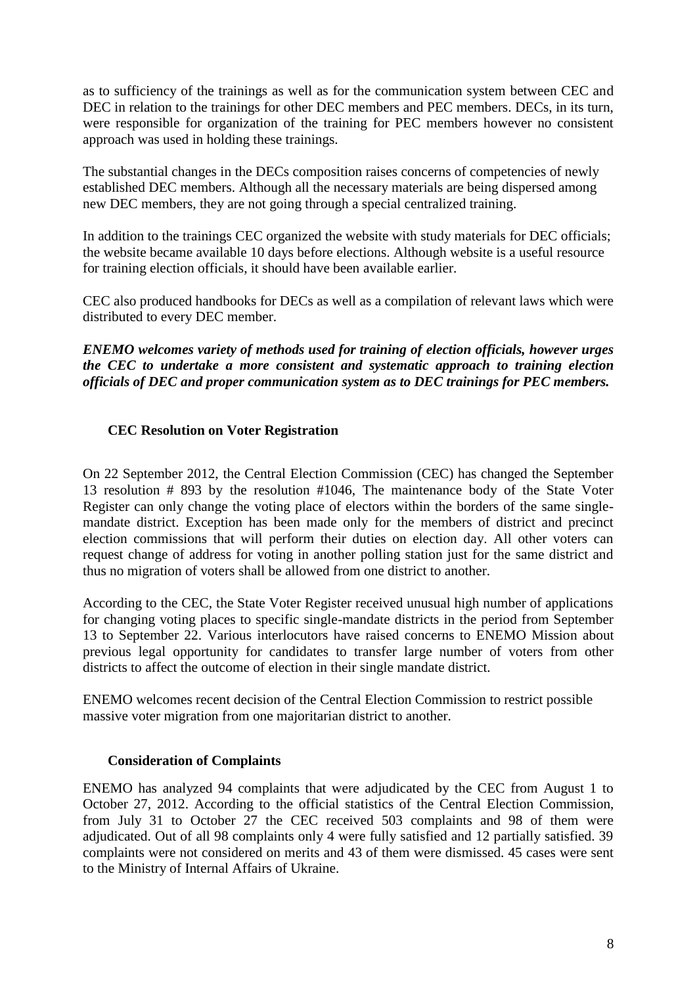as to sufficiency of the trainings as well as for the communication system between CEC and DEC in relation to the trainings for other DEC members and PEC members. DECs, in its turn, were responsible for organization of the training for PEC members however no consistent approach was used in holding these trainings.

The substantial changes in the DECs composition raises concerns of competencies of newly established DEC members. Although all the necessary materials are being dispersed among new DEC members, they are not going through a special centralized training.

In addition to the trainings CEC organized the website with study materials for DEC officials; the website became available 10 days before elections. Although website is a useful resource for training election officials, it should have been available earlier.

CEC also produced handbooks for DECs as well as a compilation of relevant laws which were distributed to every DEC member.

*ENEMO welcomes variety of methods used for training of election officials, however urges the CEC to undertake a more consistent and systematic approach to training election officials of DEC and proper communication system as to DEC trainings for PEC members.* 

## **CEC Resolution on Voter Registration**

On 22 September 2012, the Central Election Commission (CEC) has changed the September 13 resolution # 893 by the resolution #1046, The maintenance body of the State Voter Register can only change the voting place of electors within the borders of the same singlemandate district. Exception has been made only for the members of district and precinct election commissions that will perform their duties on election day. All other voters can request change of address for voting in another polling station just for the same district and thus no migration of voters shall be allowed from one district to another.

According to the CEC, the State Voter Register received unusual high number of applications for changing voting places to specific single-mandate districts in the period from September 13 to September 22. Various interlocutors have raised concerns to ENEMO Mission about previous legal opportunity for candidates to transfer large number of voters from other districts to affect the outcome of election in their single mandate district.

ENEMO welcomes recent decision of the Central Election Commission to restrict possible massive voter migration from one majoritarian district to another.

## **Consideration of Complaints**

ENEMO has analyzed 94 complaints that were adjudicated by the CEC from August 1 to October 27, 2012. According to the official statistics of the Central Election Commission, from July 31 to October 27 the CEC received 503 complaints and 98 of them were adjudicated. Out of all 98 complaints only 4 were fully satisfied and 12 partially satisfied. 39 complaints were not considered on merits and 43 of them were dismissed. 45 cases were sent to the Ministry of Internal Affairs of Ukraine.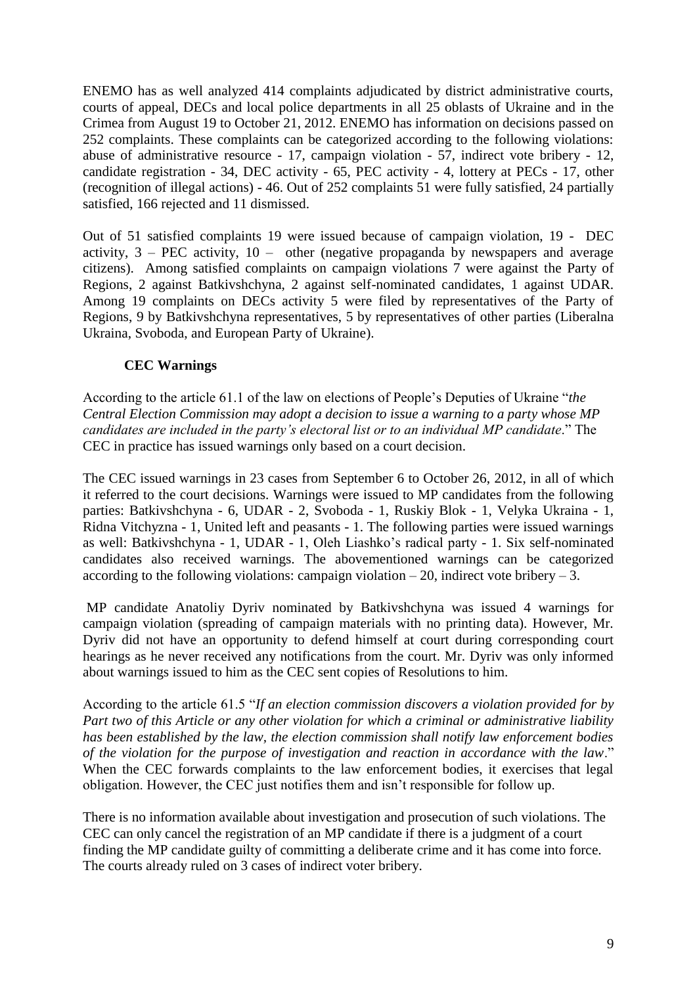ENEMO has as well analyzed 414 complaints adjudicated by district administrative courts, courts of appeal, DECs and local police departments in all 25 oblasts of Ukraine and in the Crimea from August 19 to October 21, 2012. ENEMO has information on decisions passed on 252 complaints. These complaints can be categorized according to the following violations: abuse of administrative resource - 17, campaign violation - 57, indirect vote bribery - 12, candidate registration - 34, DEC activity - 65, PEC activity - 4, lottery at PECs - 17, other (recognition of illegal actions) - 46. Out of 252 complaints 51 were fully satisfied, 24 partially satisfied, 166 rejected and 11 dismissed.

Out of 51 satisfied complaints 19 were issued because of campaign violation, 19 - DEC activity,  $3 - PEC$  activity,  $10 -$  other (negative propaganda by newspapers and average citizens). Among satisfied complaints on campaign violations 7 were against the Party of Regions, 2 against Batkivshchyna, 2 against self-nominated candidates, 1 against UDAR. Among 19 complaints on DECs activity 5 were filed by representatives of the Party of Regions, 9 by Batkivshchyna representatives, 5 by representatives of other parties (Liberalna Ukraina, Svoboda, and European Party of Ukraine).

## **CEC Warnings**

According to the article 61.1 of the law on elections of People's Deputies of Ukraine "*the Central Election Commission may adopt a decision to issue a warning to a party whose MP candidates are included in the party's electoral list or to an individual MP candidate*." The CEC in practice has issued warnings only based on a court decision.

The CEC issued warnings in 23 cases from September 6 to October 26, 2012, in all of which it referred to the court decisions. Warnings were issued to MP candidates from the following parties: Batkivshchyna - 6, UDAR - 2, Svoboda - 1, Ruskiy Blok - 1, Velyka Ukraina - 1, Ridna Vitchyzna - 1, United left and peasants - 1. The following parties were issued warnings as well: Batkivshchyna - 1, UDAR - 1, Oleh Liashko's radical party - 1. Six self-nominated candidates also received warnings. The abovementioned warnings can be categorized according to the following violations: campaign violation  $-20$ , indirect vote bribery  $-3$ .

MP candidate Anatoliy Dyriv nominated by Batkivshchyna was issued 4 warnings for campaign violation (spreading of campaign materials with no printing data). However, Mr. Dyriv did not have an opportunity to defend himself at court during corresponding court hearings as he never received any notifications from the court. Mr. Dyriv was only informed about warnings issued to him as the CEC sent copies of Resolutions to him.

According to the article 61.5 "*If an election commission discovers a violation provided for by Part two of this Article or any other violation for which a criminal or administrative liability has been established by the law, the election commission shall notify law enforcement bodies of the violation for the purpose of investigation and reaction in accordance with the law*." When the CEC forwards complaints to the law enforcement bodies, it exercises that legal obligation. However, the CEC just notifies them and isn't responsible for follow up.

There is no information available about investigation and prosecution of such violations. The CEC can only cancel the registration of an MP candidate if there is a judgment of a court finding the MP candidate guilty of committing a deliberate crime and it has come into force. The courts already ruled on 3 cases of indirect voter bribery.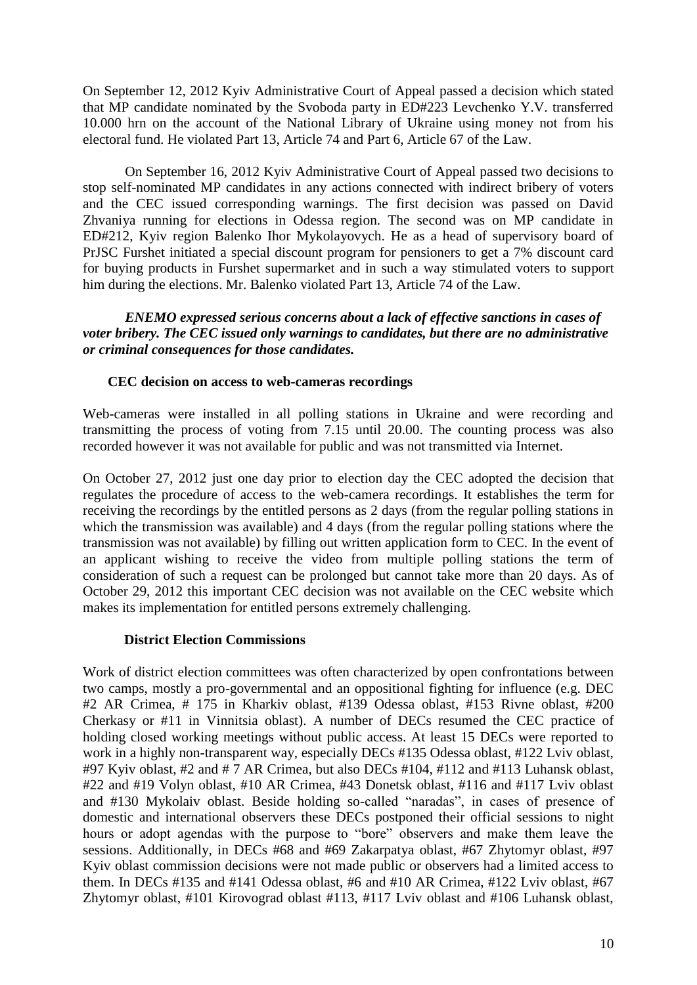On September 12, 2012 Kyiv Administrative Court of Appeal passed a decision which stated that MP candidate nominated by the Svoboda party in ED#223 Levchenko Y.V. transferred 10.000 hrn on the account of the National Library of Ukraine using money not from his electoral fund. He violated Part 13, Article 74 and Part 6, Article 67 of the Law.

On September 16, 2012 Kyiv Administrative Court of Appeal passed two decisions to stop self-nominated MP candidates in any actions connected with indirect bribery of voters and the CEC issued corresponding warnings. The first decision was passed on David Zhvaniya running for elections in Odessa region. The second was on MP candidate in ED#212, Kyiv region Balenko Ihor Mykolayovych. He as a head of supervisory board of PrJSC Furshet initiated a special discount program for pensioners to get a 7% discount card for buying products in Furshet supermarket and in such a way stimulated voters to support him during the elections. Mr. Balenko violated Part 13, Article 74 of the Law.

*ENEMO expressed serious concerns about a lack of effective sanctions in cases of voter bribery. The CEC issued only warnings to candidates, but there are no administrative or criminal consequences for those candidates.* 

#### **CEC decision on access to web-cameras recordings**

Web-cameras were installed in all polling stations in Ukraine and were recording and transmitting the process of voting from 7.15 until 20.00. The counting process was also recorded however it was not available for public and was not transmitted via Internet.

On October 27, 2012 just one day prior to election day the CEC adopted the decision that regulates the procedure of access to the web-camera recordings. It establishes the term for receiving the recordings by the entitled persons as 2 days (from the regular polling stations in which the transmission was available) and 4 days (from the regular polling stations where the transmission was not available) by filling out written application form to CEC. In the event of an applicant wishing to receive the video from multiple polling stations the term of consideration of such a request can be prolonged but cannot take more than 20 days. As of October 29, 2012 this important CEC decision was not available on the CEC website which makes its implementation for entitled persons extremely challenging.

#### **District Election Commissions**

Work of district election committees was often characterized by open confrontations between two camps, mostly a pro-governmental and an oppositional fighting for influence (e.g. DEC #2 AR Crimea, # 175 in Kharkiv oblast, #139 Odessa oblast, #153 Rivne oblast, #200 Cherkasy or #11 in Vinnitsia oblast). A number of DECs resumed the CEC practice of holding closed working meetings without public access. At least 15 DECs were reported to work in a highly non-transparent way, especially DECs #135 Odessa oblast, #122 Lviv oblast, #97 Kyiv oblast, #2 and # 7 AR Crimea, but also DECs #104, #112 and #113 Luhansk oblast, #22 and #19 Volyn oblast, #10 AR Crimea, #43 Donetsk oblast, #116 and #117 Lviv oblast and #130 Mykolaiv oblast. Beside holding so-called "naradas", in cases of presence of domestic and international observers these DECs postponed their official sessions to night hours or adopt agendas with the purpose to "bore" observers and make them leave the sessions. Additionally, in DECs #68 and #69 Zakarpatya oblast, #67 Zhytomyr oblast, #97 Kyiv oblast commission decisions were not made public or observers had a limited access to them. In DECs #135 and #141 Odessa oblast, #6 and #10 AR Crimea, #122 Lviv oblast, #67 Zhytomyr oblast, #101 Kirovograd oblast #113, #117 Lviv oblast and #106 Luhansk oblast,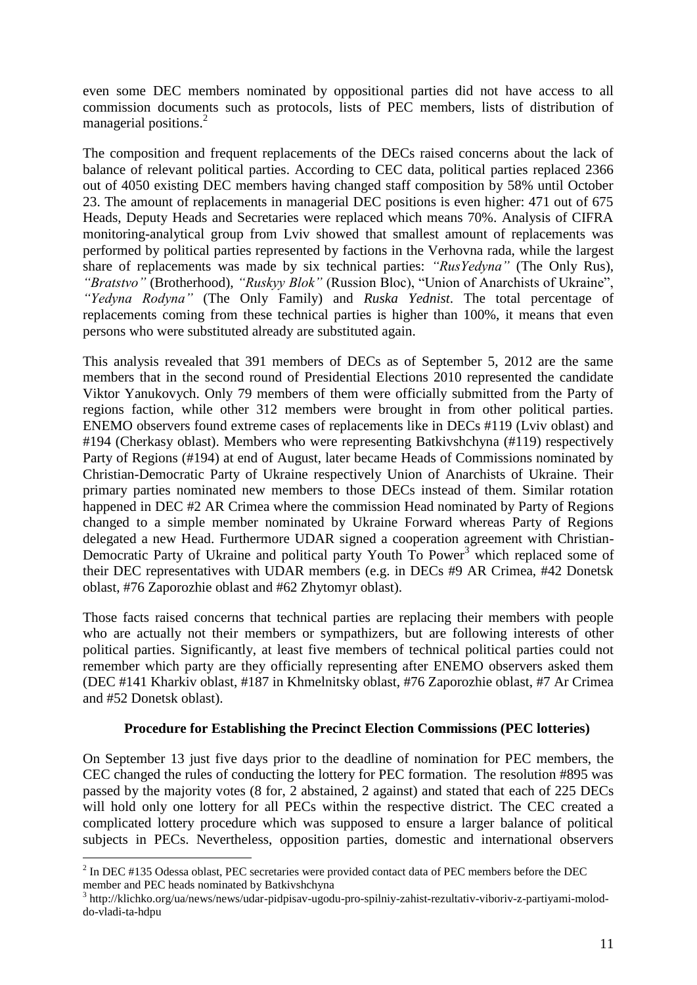even some DEC members nominated by oppositional parties did not have access to all commission documents such as protocols, lists of PEC members, lists of distribution of managerial positions.<sup>2</sup>

The composition and frequent replacements of the DECs raised concerns about the lack of balance of relevant political parties. According to CEC data, political parties replaced 2366 out of 4050 existing DEC members having changed staff composition by 58% until October 23. The amount of replacements in managerial DEC positions is even higher: 471 out of 675 Heads, Deputy Heads and Secretaries were replaced which means 70%. Analysis of CIFRA monitoring-analytical group from Lviv showed that smallest amount of replacements was performed by political parties represented by factions in the Verhovna rada, while the largest share of replacements was made by six technical parties: *"RusYedyna"* (The Only Rus), *"Bratstvo"* (Brotherhood), *"Ruskyy Blok"* (Russion Bloc), "Union of Anarchists of Ukraine", *"Yedyna Rodyna"* (The Only Family) and *Ruska Yednist*. The total percentage of replacements coming from these technical parties is higher than 100%, it means that even persons who were substituted already are substituted again.

This analysis revealed that 391 members of DECs as of September 5, 2012 are the same members that in the second round of Presidential Elections 2010 represented the candidate Viktor Yanukovych. Only 79 members of them were officially submitted from the Party of regions faction, while other 312 members were brought in from other political parties. ENEMO observers found extreme cases of replacements like in DECs #119 (Lviv oblast) and #194 (Cherkasy oblast). Members who were representing Batkivshchyna (#119) respectively Party of Regions (#194) at end of August, later became Heads of Commissions nominated by Christian-Democratic Party of Ukraine respectively Union of Anarchists of Ukraine. Their primary parties nominated new members to those DECs instead of them. Similar rotation happened in DEC #2 AR Crimea where the commission Head nominated by Party of Regions changed to a simple member nominated by Ukraine Forward whereas Party of Regions delegated a new Head. Furthermore UDAR signed a cooperation agreement with Christian-Democratic Party of Ukraine and political party Youth To Power<sup>3</sup> which replaced some of their DEC representatives with UDAR members (e.g. in DECs #9 AR Crimea, #42 Donetsk oblast, #76 Zaporozhie oblast and #62 Zhytomyr oblast).

Those facts raised concerns that technical parties are replacing their members with people who are actually not their members or sympathizers, but are following interests of other political parties. Significantly, at least five members of technical political parties could not remember which party are they officially representing after ENEMO observers asked them (DEC #141 Kharkiv oblast, #187 in Khmelnitsky oblast, #76 Zaporozhie oblast, #7 Ar Crimea and #52 Donetsk oblast).

## **Procedure for Establishing the Precinct Election Commissions (PEC lotteries)**

On September 13 just five days prior to the deadline of nomination for PEC members, the CEC changed the rules of conducting the lottery for PEC formation. The resolution #895 was passed by the majority votes (8 for, 2 abstained, 2 against) and stated that each of 225 DECs will hold only one lottery for all PECs within the respective district. The CEC created a complicated lottery procedure which was supposed to ensure a larger balance of political subjects in PECs. Nevertheless, opposition parties, domestic and international observers

1

 $2$  In DEC #135 Odessa oblast, PEC secretaries were provided contact data of PEC members before the DEC member and PEC heads nominated by Batkivshchyna

<sup>&</sup>lt;sup>3</sup> http://klichko.org/ua/news/news/udar-pidpisav-ugodu-pro-spilniy-zahist-rezultativ-viboriv-z-partiyami-moloddo-vladi-ta-hdpu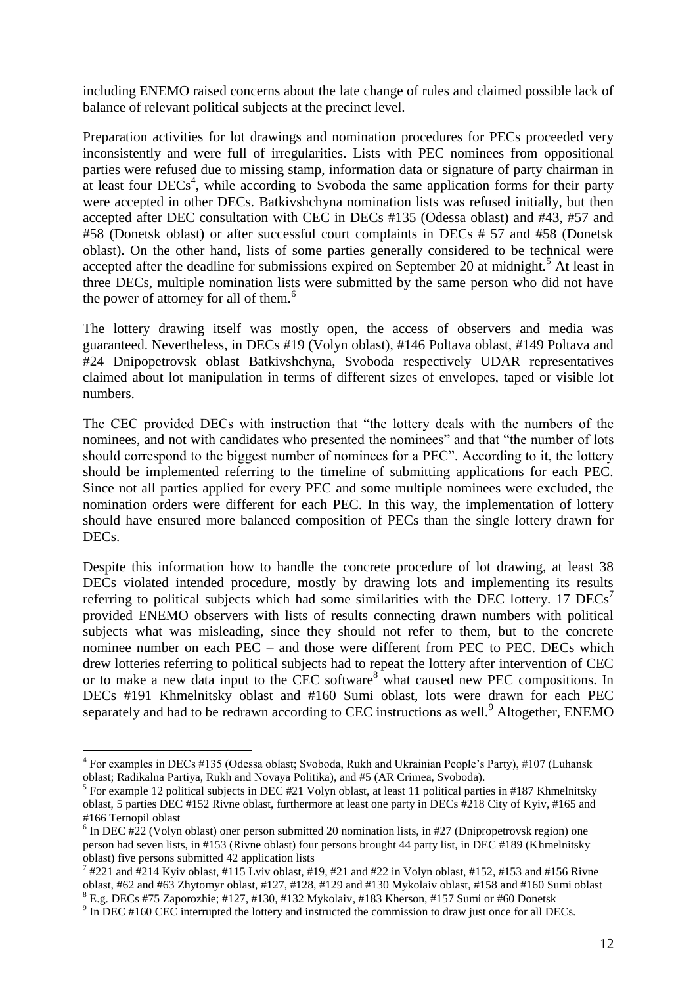including ENEMO raised concerns about the late change of rules and claimed possible lack of balance of relevant political subjects at the precinct level.

Preparation activities for lot drawings and nomination procedures for PECs proceeded very inconsistently and were full of irregularities. Lists with PEC nominees from oppositional parties were refused due to missing stamp, information data or signature of party chairman in at least four  $DECs<sup>4</sup>$ , while according to Svoboda the same application forms for their party were accepted in other DECs. Batkivshchyna nomination lists was refused initially, but then accepted after DEC consultation with CEC in DECs #135 (Odessa oblast) and #43, #57 and #58 (Donetsk oblast) or after successful court complaints in DECs # 57 and #58 (Donetsk oblast). On the other hand, lists of some parties generally considered to be technical were accepted after the deadline for submissions expired on September 20 at midnight.<sup>5</sup> At least in three DECs, multiple nomination lists were submitted by the same person who did not have the power of attorney for all of them.<sup>6</sup>

The lottery drawing itself was mostly open, the access of observers and media was guaranteed. Nevertheless, in DECs #19 (Volyn oblast), #146 Poltava oblast, #149 Poltava and #24 Dnipopetrovsk oblast Batkivshchyna, Svoboda respectively UDAR representatives claimed about lot manipulation in terms of different sizes of envelopes, taped or visible lot numbers.

The CEC provided DECs with instruction that "the lottery deals with the numbers of the nominees, and not with candidates who presented the nominees" and that "the number of lots should correspond to the biggest number of nominees for a PEC". According to it, the lottery should be implemented referring to the timeline of submitting applications for each PEC. Since not all parties applied for every PEC and some multiple nominees were excluded, the nomination orders were different for each PEC. In this way, the implementation of lottery should have ensured more balanced composition of PECs than the single lottery drawn for DECs.

Despite this information how to handle the concrete procedure of lot drawing, at least 38 DECs violated intended procedure, mostly by drawing lots and implementing its results referring to political subjects which had some similarities with the DEC lottery. 17  $DECs^7$ provided ENEMO observers with lists of results connecting drawn numbers with political subjects what was misleading, since they should not refer to them, but to the concrete nominee number on each PEC – and those were different from PEC to PEC. DECs which drew lotteries referring to political subjects had to repeat the lottery after intervention of CEC or to make a new data input to the CEC software<sup>8</sup> what caused new PEC compositions. In DECs #191 Khmelnitsky oblast and #160 Sumi oblast, lots were drawn for each PEC separately and had to be redrawn according to CEC instructions as well.<sup>9</sup> Altogether, ENEMO

1

<sup>&</sup>lt;sup>4</sup> For examples in DECs #135 (Odessa oblast; Svoboda, Rukh and Ukrainian People's Party), #107 (Luhansk oblast; Radikalna Partiya, Rukh and Novaya Politika), and #5 (AR Crimea, Svoboda).

 $<sup>5</sup>$  For example 12 political subjects in DEC #21 Volyn oblast, at least 11 political parties in #187 Khmelnitsky</sup> oblast, 5 parties DEC #152 Rivne oblast, furthermore at least one party in DECs #218 City of Kyiv, #165 and #166 Ternopil oblast

 $6$  In DEC #22 (Volyn oblast) oner person submitted 20 nomination lists, in #27 (Dnipropetrovsk region) one person had seven lists, in #153 (Rivne oblast) four persons brought 44 party list, in DEC #189 (Khmelnitsky oblast) five persons submitted 42 application lists

 $^7$  #221 and  $\#214$  Kyiv oblast,  $\#115$  Lviv oblast,  $\#19$ ,  $\#21$  and  $\#22$  in Volyn oblast,  $\#152$ ,  $\#153$  and  $\#156$  Rivne oblast, #62 and #63 Zhytomyr oblast, #127, #128, #129 and #130 Mykolaiv oblast, #158 and #160 Sumi oblast <sup>8</sup> E.g. DECs #75 Zaporozhie; #127, #130, #132 Mykolaiv, #183 Kherson, #157 Sumi or #60 Donetsk

 $9 \text{ In DEC } #160 \text{ CEC}$  interrupted the lottery and instructed the commission to draw just once for all DECs.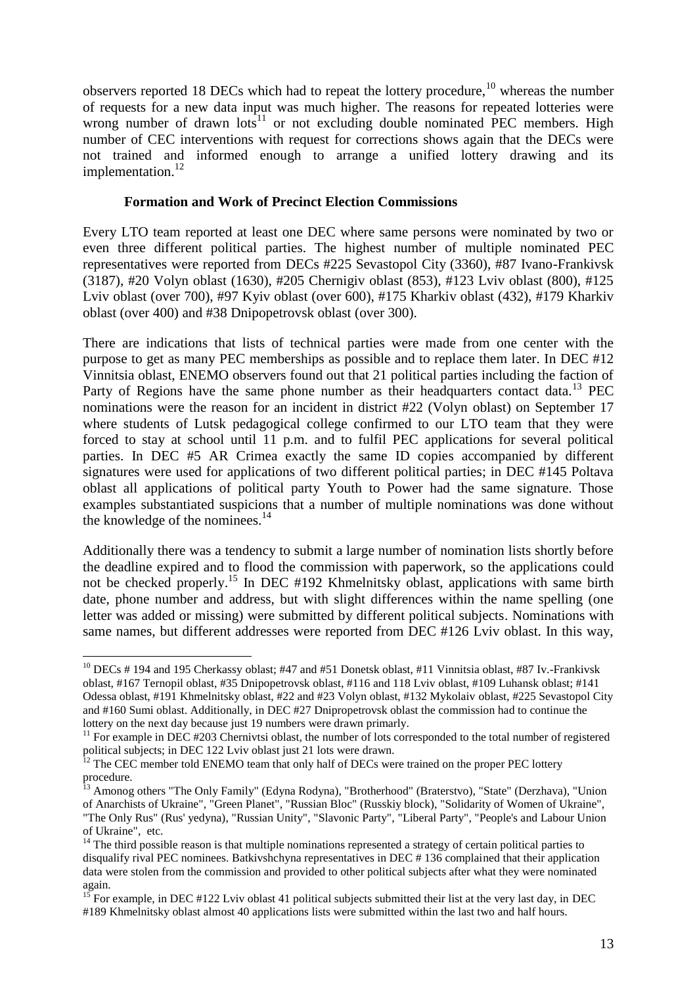observers reported 18 DECs which had to repeat the lottery procedure, $10$  whereas the number of requests for a new data input was much higher. The reasons for repeated lotteries were wrong number of drawn lots<sup>11</sup> or not excluding double nominated PEC members. High number of CEC interventions with request for corrections shows again that the DECs were not trained and informed enough to arrange a unified lottery drawing and its implementation.<sup>12</sup>

#### **Formation and Work of Precinct Election Commissions**

Every LTO team reported at least one DEC where same persons were nominated by two or even three different political parties. The highest number of multiple nominated PEC representatives were reported from DECs #225 Sevastopol City (3360), #87 Ivano-Frankivsk (3187), #20 Volyn oblast (1630), #205 Chernigiv oblast (853), #123 Lviv oblast (800), #125 Lviv oblast (over 700), #97 Kyiv oblast (over 600), #175 Kharkiv oblast (432), #179 Kharkiv oblast (over 400) and #38 Dnipopetrovsk oblast (over 300).

There are indications that lists of technical parties were made from one center with the purpose to get as many PEC memberships as possible and to replace them later. In DEC #12 Vinnitsia oblast, ENEMO observers found out that 21 political parties including the faction of Party of Regions have the same phone number as their headquarters contact data.<sup>13</sup> PEC nominations were the reason for an incident in district #22 (Volyn oblast) on September 17 where students of Lutsk pedagogical college confirmed to our LTO team that they were forced to stay at school until 11 p.m. and to fulfil PEC applications for several political parties. In DEC #5 AR Crimea exactly the same ID copies accompanied by different signatures were used for applications of two different political parties; in DEC #145 Poltava oblast all applications of political party Youth to Power had the same signature. Those examples substantiated suspicions that a number of multiple nominations was done without the knowledge of the nominees.<sup>14</sup>

Additionally there was a tendency to submit a large number of nomination lists shortly before the deadline expired and to flood the commission with paperwork, so the applications could not be checked properly.<sup>15</sup> In DEC #192 Khmelnitsky oblast, applications with same birth date, phone number and address, but with slight differences within the name spelling (one letter was added or missing) were submitted by different political subjects. Nominations with same names, but different addresses were reported from DEC #126 Lviv oblast. In this way,

<sup>1</sup>  $10$  DECs # 194 and 195 Cherkassy oblast; #47 and #51 Donetsk oblast, #11 Vinnitsia oblast, #87 Iv.-Frankivsk oblast, #167 Ternopil oblast, #35 Dnipopetrovsk oblast, #116 and 118 Lviv oblast, #109 Luhansk oblast; #141 Odessa oblast, #191 Khmelnitsky oblast, #22 and #23 Volyn oblast, #132 Mykolaiv oblast, #225 Sevastopol City and #160 Sumi oblast. Additionally, in DEC #27 Dnipropetrovsk oblast the commission had to continue the lottery on the next day because just 19 numbers were drawn primarly.

 $11$  For example in DEC #203 Chernivtsi oblast, the number of lots corresponded to the total number of registered political subjects; in DEC 122 Lviv oblast just 21 lots were drawn.

 $12$  The CEC member told ENEMO team that only half of DECs were trained on the proper PEC lottery procedure.

<sup>&</sup>lt;sup>13</sup> Amonog others "The Only Family" (Edyna Rodyna), "Brotherhood" (Braterstvo), "State" (Derzhava), "Union of Anarchists of Ukraine", "Green Planet", "Russian Bloc" (Russkiy block), "Solidarity of Women of Ukraine", "The Only Rus" (Rus' yedyna), "Russian Unity", "Slavonic Party", "Liberal Party", "People's and Labour Union of Ukraine", etc.

<sup>&</sup>lt;sup>14</sup> The third possible reason is that multiple nominations represented a strategy of certain political parties to disqualify rival PEC nominees. Batkivshchyna representatives in DEC # 136 complained that their application data were stolen from the commission and provided to other political subjects after what they were nominated again.

<sup>&</sup>lt;sup>15</sup> For example, in DEC #122 Lviv oblast 41 political subjects submitted their list at the very last day, in DEC #189 Khmelnitsky oblast almost 40 applications lists were submitted within the last two and half hours.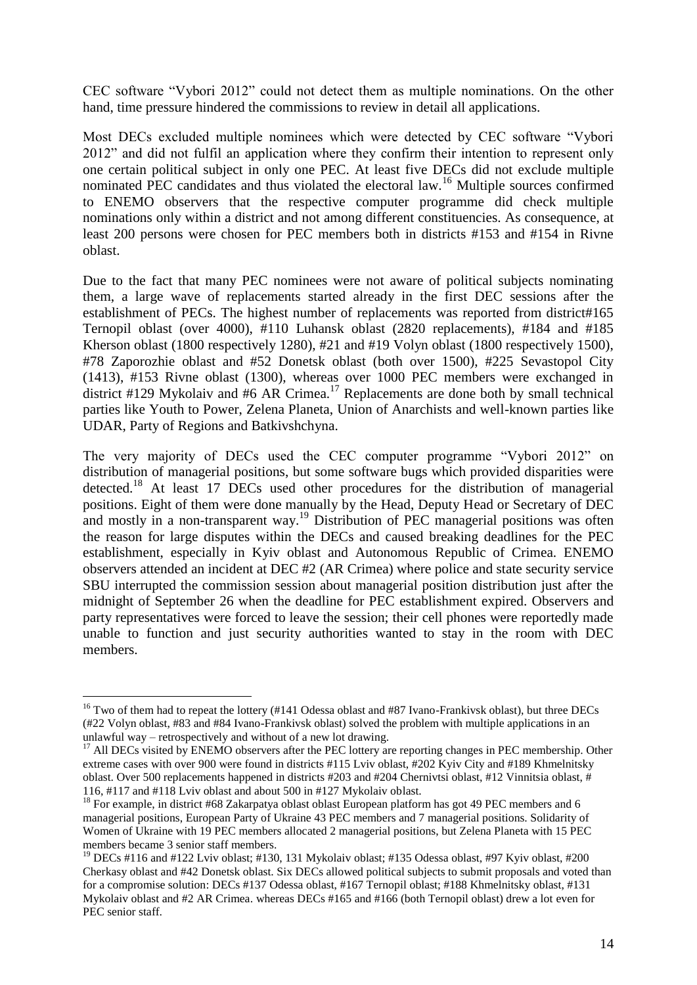CEC software "Vybori 2012" could not detect them as multiple nominations. On the other hand, time pressure hindered the commissions to review in detail all applications.

Most DECs excluded multiple nominees which were detected by CEC software "Vybori 2012" and did not fulfil an application where they confirm their intention to represent only one certain political subject in only one PEC. At least five DECs did not exclude multiple nominated PEC candidates and thus violated the electoral law.<sup>16</sup> Multiple sources confirmed to ENEMO observers that the respective computer programme did check multiple nominations only within a district and not among different constituencies. As consequence, at least 200 persons were chosen for PEC members both in districts #153 and #154 in Rivne oblast.

Due to the fact that many PEC nominees were not aware of political subjects nominating them, a large wave of replacements started already in the first DEC sessions after the establishment of PECs. The highest number of replacements was reported from district#165 Ternopil oblast (over 4000), #110 Luhansk oblast (2820 replacements), #184 and #185 Kherson oblast (1800 respectively 1280), #21 and #19 Volyn oblast (1800 respectively 1500), #78 Zaporozhie oblast and #52 Donetsk oblast (both over 1500), #225 Sevastopol City (1413), #153 Rivne oblast (1300), whereas over 1000 PEC members were exchanged in district #129 Mykolaiv and #6 AR Crimea.<sup>17</sup> Replacements are done both by small technical parties like Youth to Power, Zelena Planeta, Union of Anarchists and well-known parties like UDAR, Party of Regions and Batkivshchyna.

The very majority of DECs used the CEC computer programme "Vybori 2012" on distribution of managerial positions, but some software bugs which provided disparities were detected.<sup>18</sup> At least 17 DECs used other procedures for the distribution of managerial positions. Eight of them were done manually by the Head, Deputy Head or Secretary of DEC and mostly in a non-transparent way.<sup>19</sup> Distribution of PEC managerial positions was often the reason for large disputes within the DECs and caused breaking deadlines for the PEC establishment, especially in Kyiv oblast and Autonomous Republic of Crimea. ENEMO observers attended an incident at DEC #2 (AR Crimea) where police and state security service SBU interrupted the commission session about managerial position distribution just after the midnight of September 26 when the deadline for PEC establishment expired. Observers and party representatives were forced to leave the session; their cell phones were reportedly made unable to function and just security authorities wanted to stay in the room with DEC members.

<u>.</u>

<sup>&</sup>lt;sup>16</sup> Two of them had to repeat the lottery (#141 Odessa oblast and #87 Ivano-Frankivsk oblast), but three DECs (#22 Volyn oblast, #83 and #84 Ivano-Frankivsk oblast) solved the problem with multiple applications in an unlawful way – retrospectively and without of a new lot drawing.

 $17$  All DECs visited by ENEMO observers after the PEC lottery are reporting changes in PEC membership. Other extreme cases with over 900 were found in districts #115 Lviv oblast, #202 Kyiv City and #189 Khmelnitsky oblast. Over 500 replacements happened in districts #203 and #204 Chernivtsi oblast, #12 Vinnitsia oblast, # 116, #117 and #118 Lviv oblast and about 500 in #127 Mykolaiv oblast.

<sup>&</sup>lt;sup>18</sup> For example, in district #68 Zakarpatya oblast oblast European platform has got 49 PEC members and 6 managerial positions, European Party of Ukraine 43 PEC members and 7 managerial positions. Solidarity of Women of Ukraine with 19 PEC members allocated 2 managerial positions, but Zelena Planeta with 15 PEC members became 3 senior staff members.

<sup>&</sup>lt;sup>19</sup> DECs #116 and #122 Lviv oblast; #130, 131 Mykolaiv oblast; #135 Odessa oblast, #97 Kyiv oblast, #200 Cherkasy oblast and #42 Donetsk oblast. Six DECs allowed political subjects to submit proposals and voted than for a compromise solution: DECs #137 Odessa oblast, #167 Ternopil oblast; #188 Khmelnitsky oblast, #131 Mykolaiv oblast and #2 AR Crimea. whereas DECs #165 and #166 (both Ternopil oblast) drew a lot even for PEC senior staff.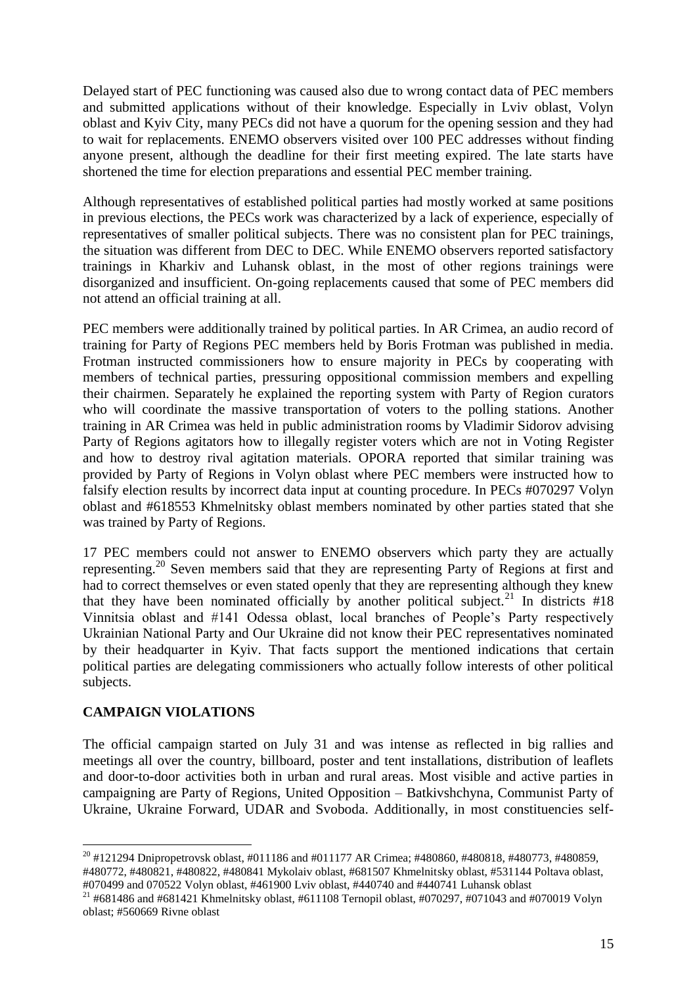Delayed start of PEC functioning was caused also due to wrong contact data of PEC members and submitted applications without of their knowledge. Especially in Lviv oblast, Volyn oblast and Kyiv City, many PECs did not have a quorum for the opening session and they had to wait for replacements. ENEMO observers visited over 100 PEC addresses without finding anyone present, although the deadline for their first meeting expired. The late starts have shortened the time for election preparations and essential PEC member training.

Although representatives of established political parties had mostly worked at same positions in previous elections, the PECs work was characterized by a lack of experience, especially of representatives of smaller political subjects. There was no consistent plan for PEC trainings, the situation was different from DEC to DEC. While ENEMO observers reported satisfactory trainings in Kharkiv and Luhansk oblast, in the most of other regions trainings were disorganized and insufficient. On-going replacements caused that some of PEC members did not attend an official training at all.

PEC members were additionally trained by political parties. In AR Crimea, an audio record of training for Party of Regions PEC members held by Boris Frotman was published in media. Frotman instructed commissioners how to ensure majority in PECs by cooperating with members of technical parties, pressuring oppositional commission members and expelling their chairmen. Separately he explained the reporting system with Party of Region curators who will coordinate the massive transportation of voters to the polling stations. Another training in AR Crimea was held in public administration rooms by Vladimir Sidorov advising Party of Regions agitators how to illegally register voters which are not in Voting Register and how to destroy rival agitation materials. OPORA reported that similar training was provided by Party of Regions in Volyn oblast where PEC members were instructed how to falsify election results by incorrect data input at counting procedure. In PECs #070297 Volyn oblast and #618553 Khmelnitsky oblast members nominated by other parties stated that she was trained by Party of Regions.

17 PEC members could not answer to ENEMO observers which party they are actually representing.<sup>20</sup> Seven members said that they are representing Party of Regions at first and had to correct themselves or even stated openly that they are representing although they knew that they have been nominated officially by another political subject.<sup>21</sup> In districts  $#18$ Vinnitsia oblast and #141 Odessa oblast, local branches of People's Party respectively Ukrainian National Party and Our Ukraine did not know their PEC representatives nominated by their headquarter in Kyiv. That facts support the mentioned indications that certain political parties are delegating commissioners who actually follow interests of other political subjects.

## **CAMPAIGN VIOLATIONS**

1

The official campaign started on July 31 and was intense as reflected in big rallies and meetings all over the country, billboard, poster and tent installations, distribution of leaflets and door-to-door activities both in urban and rural areas. Most visible and active parties in campaigning are Party of Regions, United Opposition – Batkivshchyna, Communist Party of Ukraine, Ukraine Forward, UDAR and Svoboda. Additionally, in most constituencies self-

 $^{20}$  #121294 Dnipropetrovsk oblast, #011186 and #011177 AR Crimea; #480860, #480818, #480773, #480859, #480772, #480821, #480822, #480841 Mykolaiv oblast, #681507 Khmelnitsky oblast, #531144 Poltava oblast, #070499 and 070522 Volyn oblast, #461900 Lviv oblast, #440740 and #440741 Luhansk oblast

<sup>&</sup>lt;sup>21</sup> #681486 and #681421 Khmelnitsky oblast, #611108 Ternopil oblast, #070297, #071043 and #070019 Volyn oblast; #560669 Rivne oblast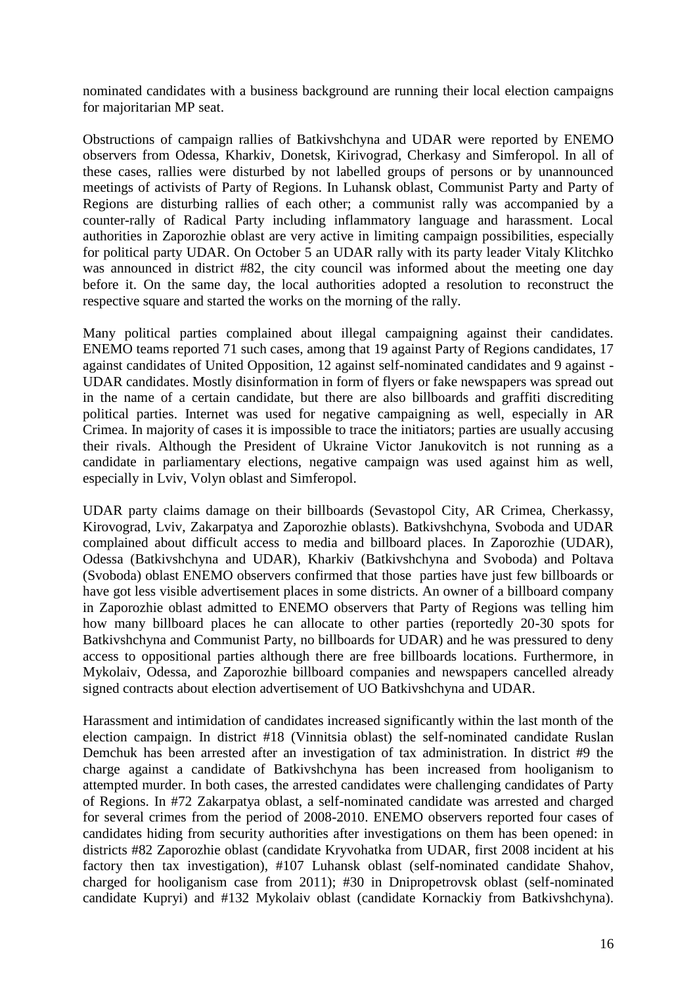nominated candidates with a business background are running their local election campaigns for majoritarian MP seat.

Obstructions of campaign rallies of Batkivshchyna and UDAR were reported by ENEMO observers from Odessa, Kharkiv, Donetsk, Kirivograd, Cherkasy and Simferopol. In all of these cases, rallies were disturbed by not labelled groups of persons or by unannounced meetings of activists of Party of Regions. In Luhansk oblast, Communist Party and Party of Regions are disturbing rallies of each other; a communist rally was accompanied by a counter-rally of Radical Party including inflammatory language and harassment. Local authorities in Zaporozhie oblast are very active in limiting campaign possibilities, especially for political party UDAR. On October 5 an UDAR rally with its party leader Vitaly Klitchko was announced in district #82, the city council was informed about the meeting one day before it. On the same day, the local authorities adopted a resolution to reconstruct the respective square and started the works on the morning of the rally.

Many political parties complained about illegal campaigning against their candidates. ENEMO teams reported 71 such cases, among that 19 against Party of Regions candidates, 17 against candidates of United Opposition, 12 against self-nominated candidates and 9 against - UDAR candidates. Mostly disinformation in form of flyers or fake newspapers was spread out in the name of a certain candidate, but there are also billboards and graffiti discrediting political parties. Internet was used for negative campaigning as well, especially in AR Crimea. In majority of cases it is impossible to trace the initiators; parties are usually accusing their rivals. Although the President of Ukraine Victor Janukovitch is not running as a candidate in parliamentary elections, negative campaign was used against him as well, especially in Lviv, Volyn oblast and Simferopol.

UDAR party claims damage on their billboards (Sevastopol City, AR Crimea, Cherkassy, Kirovograd, Lviv, Zakarpatya and Zaporozhie oblasts). Batkivshchyna, Svoboda and UDAR complained about difficult access to media and billboard places. In Zaporozhie (UDAR), Odessa (Batkivshchyna and UDAR), Kharkiv (Batkivshchyna and Svoboda) and Poltava (Svoboda) oblast ENEMO observers confirmed that those parties have just few billboards or have got less visible advertisement places in some districts. An owner of a billboard company in Zaporozhie oblast admitted to ENEMO observers that Party of Regions was telling him how many billboard places he can allocate to other parties (reportedly 20-30 spots for Batkivshchyna and Communist Party, no billboards for UDAR) and he was pressured to deny access to oppositional parties although there are free billboards locations. Furthermore, in Mykolaiv, Odessa, and Zaporozhie billboard companies and newspapers cancelled already signed contracts about election advertisement of UO Batkivshchyna and UDAR.

Harassment and intimidation of candidates increased significantly within the last month of the election campaign. In district #18 (Vinnitsia oblast) the self-nominated candidate Ruslan Demchuk has been arrested after an investigation of tax administration. In district #9 the charge against a candidate of Batkivshchyna has been increased from hooliganism to attempted murder. In both cases, the arrested candidates were challenging candidates of Party of Regions. In #72 Zakarpatya oblast, a self-nominated candidate was arrested and charged for several crimes from the period of 2008-2010. ENEMO observers reported four cases of candidates hiding from security authorities after investigations on them has been opened: in districts #82 Zaporozhie oblast (candidate Kryvohatka from UDAR, first 2008 incident at his factory then tax investigation), #107 Luhansk oblast (self-nominated candidate Shahov, charged for hooliganism case from 2011); #30 in Dnipropetrovsk oblast (self-nominated candidate Kupryi) and #132 Mykolaiv oblast (candidate Kornackiy from Batkivshchyna).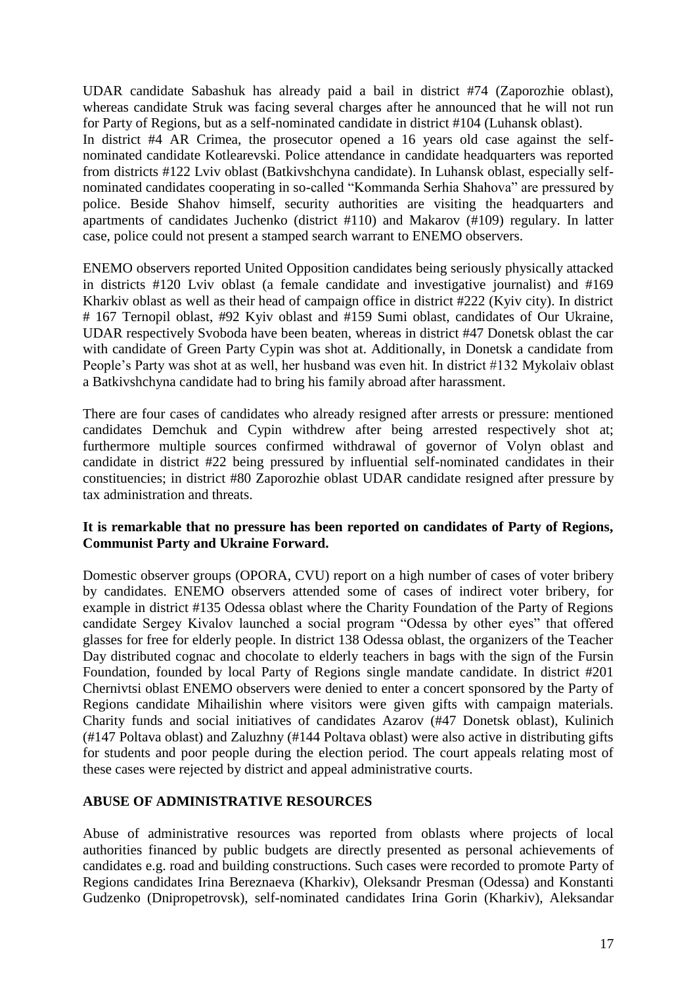UDAR candidate Sabashuk has already paid a bail in district #74 (Zaporozhie oblast), whereas candidate Struk was facing several charges after he announced that he will not run for Party of Regions, but as a self-nominated candidate in district #104 (Luhansk oblast). In district #4 AR Crimea, the prosecutor opened a 16 years old case against the selfnominated candidate Kotlearevski. Police attendance in candidate headquarters was reported from districts #122 Lviv oblast (Batkivshchyna candidate). In Luhansk oblast, especially selfnominated candidates cooperating in so-called "Kommanda Serhia Shahova" are pressured by police. Beside Shahov himself, security authorities are visiting the headquarters and apartments of candidates Juchenko (district #110) and Makarov (#109) regulary. In latter case, police could not present a stamped search warrant to ENEMO observers.

ENEMO observers reported United Opposition candidates being seriously physically attacked in districts #120 Lviv oblast (a female candidate and investigative journalist) and #169 Kharkiv oblast as well as their head of campaign office in district #222 (Kyiv city). In district # 167 Ternopil oblast, #92 Kyiv oblast and #159 Sumi oblast, candidates of Our Ukraine, UDAR respectively Svoboda have been beaten, whereas in district #47 Donetsk oblast the car with candidate of Green Party Cypin was shot at. Additionally, in Donetsk a candidate from People's Party was shot at as well, her husband was even hit. In district #132 Mykolaiv oblast a Batkivshchyna candidate had to bring his family abroad after harassment.

There are four cases of candidates who already resigned after arrests or pressure: mentioned candidates Demchuk and Cypin withdrew after being arrested respectively shot at; furthermore multiple sources confirmed withdrawal of governor of Volyn oblast and candidate in district #22 being pressured by influential self-nominated candidates in their constituencies; in district #80 Zaporozhie oblast UDAR candidate resigned after pressure by tax administration and threats.

## **It is remarkable that no pressure has been reported on candidates of Party of Regions, Communist Party and Ukraine Forward.**

Domestic observer groups (OPORA, CVU) report on a high number of cases of voter bribery by candidates. ENEMO observers attended some of cases of indirect voter bribery, for example in district #135 Odessa oblast where the Charity Foundation of the Party of Regions candidate Sergey Kivalov launched a social program "Odessa by other eyes" that offered glasses for free for elderly people. In district 138 Odessa oblast, the organizers of the Teacher Day distributed cognac and chocolate to elderly teachers in bags with the sign of the Fursin Foundation, founded by local Party of Regions single mandate candidate. In district #201 Chernivtsi oblast ENEMO observers were denied to enter a concert sponsored by the Party of Regions candidate Mihailishin where visitors were given gifts with campaign materials. Charity funds and social initiatives of candidates Azarov (#47 Donetsk oblast), Kulinich (#147 Poltava oblast) and Zaluzhny (#144 Poltava oblast) were also active in distributing gifts for students and poor people during the election period. The court appeals relating most of these cases were rejected by district and appeal administrative courts.

## **ABUSE OF ADMINISTRATIVE RESOURCES**

Abuse of administrative resources was reported from oblasts where projects of local authorities financed by public budgets are directly presented as personal achievements of candidates e.g. road and building constructions. Such cases were recorded to promote Party of Regions candidates Irina Bereznaeva (Kharkiv), Oleksandr Presman (Odessa) and Konstanti Gudzenko (Dnipropetrovsk), self-nominated candidates Irina Gorin (Kharkiv), Aleksandar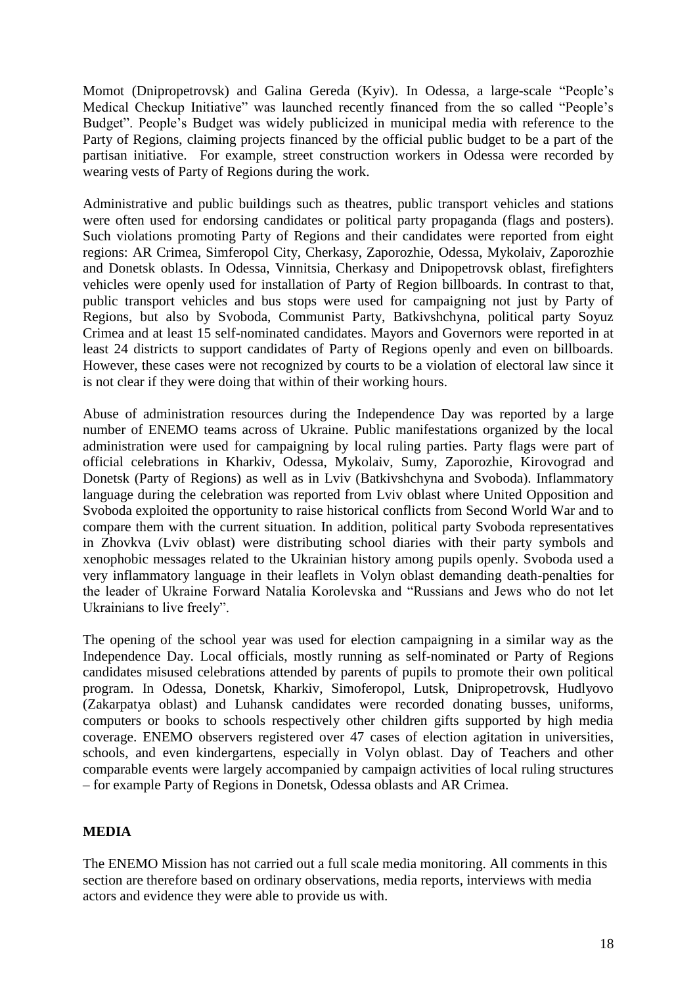Momot (Dnipropetrovsk) and Galina Gereda (Kyiv). In Odessa, a large-scale "People's Medical Checkup Initiative" was launched recently financed from the so called "People's Budget". People's Budget was widely publicized in municipal media with reference to the Party of Regions, claiming projects financed by the official public budget to be a part of the partisan initiative. For example, street construction workers in Odessa were recorded by wearing vests of Party of Regions during the work.

Administrative and public buildings such as theatres, public transport vehicles and stations were often used for endorsing candidates or political party propaganda (flags and posters). Such violations promoting Party of Regions and their candidates were reported from eight regions: AR Crimea, Simferopol City, Cherkasy, Zaporozhie, Odessa, Mykolaiv, Zaporozhie and Donetsk oblasts. In Odessa, Vinnitsia, Cherkasy and Dnipopetrovsk oblast, firefighters vehicles were openly used for installation of Party of Region billboards. In contrast to that, public transport vehicles and bus stops were used for campaigning not just by Party of Regions, but also by Svoboda, Communist Party, Batkivshchyna, political party Soyuz Crimea and at least 15 self-nominated candidates. Mayors and Governors were reported in at least 24 districts to support candidates of Party of Regions openly and even on billboards. However, these cases were not recognized by courts to be a violation of electoral law since it is not clear if they were doing that within of their working hours.

Abuse of administration resources during the Independence Day was reported by a large number of ENEMO teams across of Ukraine. Public manifestations organized by the local administration were used for campaigning by local ruling parties. Party flags were part of official celebrations in Kharkiv, Odessa, Mykolaiv, Sumy, Zaporozhie, Kirovograd and Donetsk (Party of Regions) as well as in Lviv (Batkivshchyna and Svoboda). Inflammatory language during the celebration was reported from Lviv oblast where United Opposition and Svoboda exploited the opportunity to raise historical conflicts from Second World War and to compare them with the current situation. In addition, political party Svoboda representatives in Zhovkva (Lviv oblast) were distributing school diaries with their party symbols and xenophobic messages related to the Ukrainian history among pupils openly. Svoboda used a very inflammatory language in their leaflets in Volyn oblast demanding death-penalties for the leader of Ukraine Forward Natalia Korolevska and "Russians and Jews who do not let Ukrainians to live freely".

The opening of the school year was used for election campaigning in a similar way as the Independence Day. Local officials, mostly running as self-nominated or Party of Regions candidates misused celebrations attended by parents of pupils to promote their own political program. In Odessa, Donetsk, Kharkiv, Simoferopol, Lutsk, Dnipropetrovsk, Hudlyovo (Zakarpatya oblast) and Luhansk candidates were recorded donating busses, uniforms, computers or books to schools respectively other children gifts supported by high media coverage. ENEMO observers registered over 47 cases of election agitation in universities, schools, and even kindergartens, especially in Volyn oblast. Day of Teachers and other comparable events were largely accompanied by campaign activities of local ruling structures – for example Party of Regions in Donetsk, Odessa oblasts and AR Crimea.

## **MEDIA**

The ENEMO Mission has not carried out a full scale media monitoring. All comments in this section are therefore based on ordinary observations, media reports, interviews with media actors and evidence they were able to provide us with.